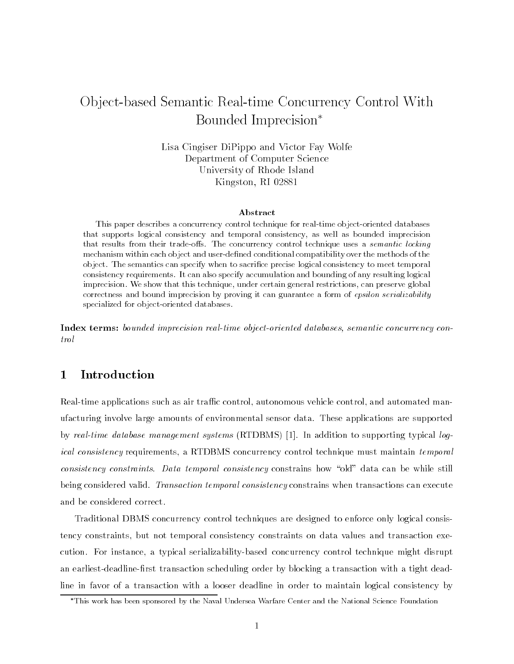# Ob ject-based Semantic Real-time Concurrency Control With Bounded Imprecision

Lisa Cingiser DiPippo and Victor Fay WolfeDepartment of Computer ScienceUniversity of Rhode IslandKingston, RI 02881

### Abstract

This paper describes a concurrency control technique for real-time object-oriented databases that supports logical consistency and temporal consistency, as well as bounded imprecision that results from their trade-offs. The concurrency control technique uses a semantic locking mechanism within each object and user-defined conditional compatibility over the methods of the object. The semantics can specify when to sacrice precise logical consistency to meet temporal consistency requirements. It can also specify accumulation and bounding of any resulting logical imprecision. We show that this technique, under certain general restrictions, can preserve global correctness and bound imprecision by proving it can guarantee a form of epsilon serializability specialized for object-oriented databases.

Index terms: bounded imprecision real-time object-oriented databases, semantic concurrency con $trol$ 

#### Introduction  $\mathbf{1}$

Real-time applications such as air traffic control, autonomous vehicle control, and automated manufacturing involve large amounts of environmental sensor data. These applications are supported by real-time database management systems (RTDBMS) [1]. In addition to supporting typical logical consistency requirements, a RTDBMS concurrency control technique must maintain temporal consistency constraints. Data temporal consistency constrains how "old" data can be while still being considered valid. Transaction temporal consistency constrains when transactions can execute and be considered correct.

Traditional DBMS concurrency control techniques are designed to enforce only logical consistency constraints, but not temporal consistency constraints on data values and transaction execution. For instance, a typical serializability-based concurrency control technique might disrupt an earliest-deadline-first transaction scheduling order by blocking a transaction with a tight deadline in favor of a transaction with a looser deadline in order to maintain logical consistency by

This work has been sponsored by the Naval Undersea Warfare Center and the National Science Foundation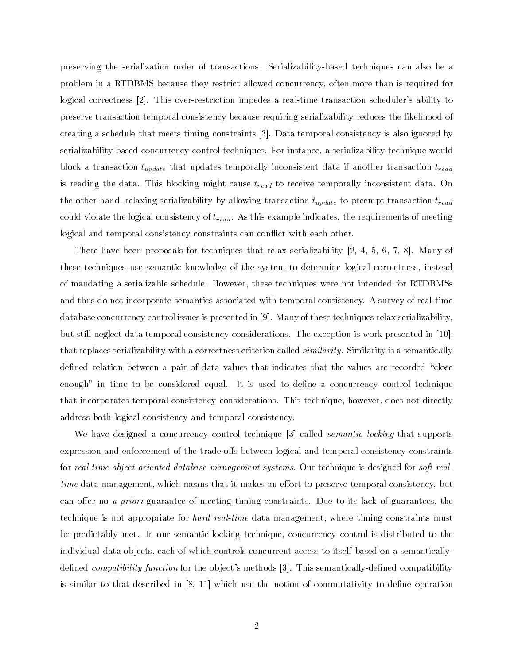preserving the serialization order of transactions. Serializability-based techniques can also be a problem in a RTDBMS because they restrict allowed concurrency, often more than is required for logical correctness [2]. This over-restriction impedes a real-time transaction scheduler's ability to preserve transaction temporal consistency because requiring serializability reduces the likelihood of creating a schedule that meets timing constraints [3]. Data temporal consistency is also ignored by serializability-based concurrency control techniques. For instance, a serializability technique would block a transaction  $t_{update}$  that updates temporally inconsistent data if another transaction  $t_{read}$ is reading the data. This blocking might cause  $t_{read}$  to receive temporally inconsistent data. On the other hand, relaxing serializability by allowing transaction  $t_{update}$  to preempt transaction  $t_{read}$ could violate the logical consistency of  $t_{read}$ . As this example indicates, the requirements of meeting logical and temporal consistency constraints can conflict with each other.

There have been proposals for techniques that relax serializability  $[2,\ 4,\ 5,\ 6,\ 7,\ 8].$  Many of these techniques use semantic knowledge of the system to determine logical correctness, instead of mandating a serializable schedule. However, these techniques were not intended for RTDBMSs and thus do not incorporate semantics associated with temporal consistency. A survey of real-time database concurrency control issues is presented in [9]. Many of these techniques relax serializability, but still neglect data temporal consistency considerations. The exception is work presented in [10], that replaces serializability with a correctness criterion called *similarity*. Similarity is a semantically defined relation between a pair of data values that indicates that the values are recorded "close enough" in time to be considered equal. It is used to define a concurrency control technique that incorporates temporal consistency considerations. This technique, however, does not directly address both logical consistency and temporal consistency.

We have designed a concurrency control technique [3] called *semantic locking* that supports expression and enforcement of the trade-offs between logical and temporal consistency constraints for real-time object-oriented database management systems. Our technique is designed for soft realtime data management, which means that it makes an eort to preserve temporal consistency, but can offer no *a priori* guarantee of meeting timing constraints. Due to its lack of guarantees, the technique is not appropriate for *hard real-time* data management, where timing constraints must be predictably met. In our semantic locking technique, concurrency control is distributed to the individual data ob jects, each of which controls concurrent access to itself based on a semanticallydefined *compatibility function* for the object's methods  $[3]$ . This semantically-defined compatibility is similar to that described in  $[8, 11]$  which use the notion of commutativity to define operation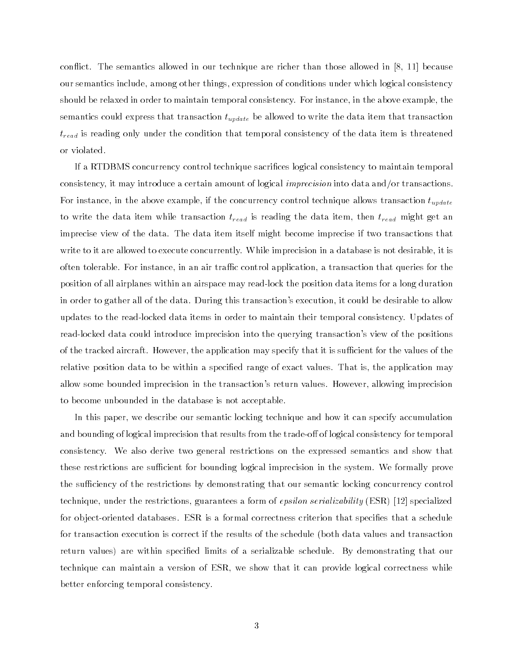con
ict. The semantics allowed in our technique are richer than those allowed in [8, 11] because our semantics include, among other things, expression of conditions under which logical consistency should be relaxed in order to maintain temporal consistency. For instance, in the above example, the semantics could express that transaction  $t_{update}$  be allowed to write the data item that transaction  $t_{read}$  is reading only under the condition that temporal consistency of the data item is threatened or violated.

If a RTDBMS concurrency control technique sacrices logical consistency to maintain temporal consistency, it may introduce a certain amount of logical imprecision into data and/or transactions. For instance, in the above example, if the concurrency control technique allows transaction  $t_{update}$ to write the data item while transaction  $t_{read}$  is reading the data item, then  $t_{read}$  might get an imprecise view of the data. The data item itself might become imprecise if two transactions that write to it are allowed to execute concurrently. While imprecision in a database is not desirable, it is often tolerable. For instance, in an air traffic control application, a transaction that queries for the position of all airplanes within an airspace may read-lock the position data items for a long duration in order to gather all of the data. During this transaction's execution, it could be desirable to allow updates to the read-locked data items in order to maintain their temporal consistency. Updates of read-locked data could introduce imprecision into the querying transaction's view of the positions of the tracked aircraft. However, the application may specify that it is sufficient for the values of the relative position data to be within a specied range of exact values. That is, the application may allow some bounded imprecision in the transaction's return values. However, allowing imprecision to become unbounded in the database is not acceptable.

In this paper, we describe our semantic locking technique and how it can specify accumulation and bounding of logical imprecision that results from the trade-off of logical consistency for temporal consistency. We also derive two general restrictions on the expressed semantics and show that these restrictions are sufficient for bounding logical imprecision in the system. We formally prove the sufficiency of the restrictions by demonstrating that our semantic locking concurrency control technique, under the restrictions, guarantees a form of epsilon serializability (ESR) [12] specialized for object-oriented databases. ESR is a formal correctness criterion that specifies that a schedule for transaction execution is correct if the results of the schedule (both data values and transaction return values) are within specied limits of a serializable schedule. By demonstrating that our technique can maintain a version of ESR, we show that it can provide logical correctness while better enforcing temporal consistency.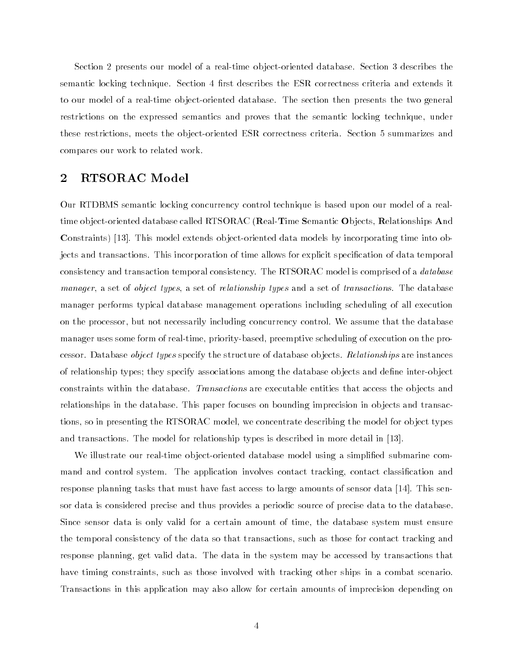Section 2 presents our model of a real-time ob ject-oriented database. Section 3 describes the semantic locking technique. Section 4 first describes the ESR correctness criteria and extends it to our model of a real-time object-oriented database. The section then presents the two general restrictions on the expressed semantics and proves that the semantic locking technique, under these restrictions, meets the ob ject-oriented ESR correctness criteria. Section 5 summarizes and compares our work to related work.

## 2 RTSORAC Model

Our RTDBMS semantic locking concurrency control technique is based upon our model of a realtime object-oriented database called RTSORAC (Real-Time Semantic Objects, Relationships And Constraints) [13]. This model extends ob ject-oriented data models by incorporating time into objects and transactions. This incorporation of time allows for explicit specification of data temporal consistency and transaction temporal consistency. The RTSORAC model is comprised of a *database* manager, a set of *object types*, a set of *relationship types* and a set of *transactions*. The database manager performs typical database management operations including scheduling of all execution on the processor, but not necessarily including concurrency control. We assume that the database manager uses some form of real-time, priority-based, preemptive scheduling of execution on the processor. Database object types specify the structure of database objects. Relationships are instances of relationship types; they specify associations among the database objects and define inter-object constraints within the database. Transactions are executable entities that access the objects and relationships in the database. This paper focuses on bounding imprecision in objects and transactions, so in presenting the RTSORAC model, we concentrate describing the model for ob ject types and transactions. The model for relationship types is described in more detail in [13].

We illustrate our real-time object-oriented database model using a simplified submarine command and control system. The application involves contact tracking, contact classification and response planning tasks that must have fast access to large amounts of sensor data [14]. This sensor data is considered precise and thus provides a periodic source of precise data to the database. Since sensor data is only valid for a certain amount of time, the database system must ensure the temporal consistency of the data so that transactions, such as those for contact tracking and response planning, get valid data. The data in the system may be accessed by transactions that have timing constraints, such as those involved with tracking other ships in a combat scenario. Transactions in this application may also allow for certain amounts of imprecision depending on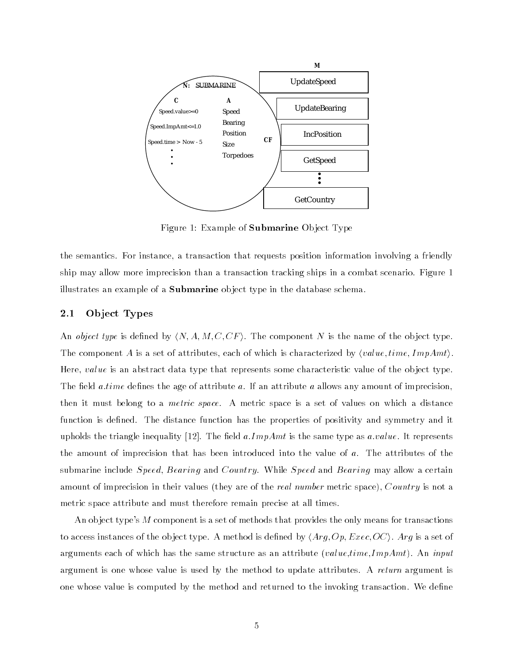

Figure 1: Example of Submarine Ob ject Type

the semantics. For instance, a transaction that requests position information involving a friendly ship may allow more imprecision than a transaction tracking ships in a combat scenario. Figure 1 illustrates an example of a **Submarine** object type in the database schema.

#### 2.1Ob ject Types

An *object type* is defined by  $\langle N, A, M, C, CF \rangle$ . The component N is the name of the object type. The component A is a set of attributes, each of which is characterized by  $\langle value, time, ImpAmt \rangle$ . Here, value is an abstract data type that represents some characteristic value of the object type. The field *a time* defines the age of attribute a. If an attribute a allows any amount of imprecision, then it must belong to a *metric space*. A metric space is a set of values on which a distance function is defined. The distance function has the properties of positivity and symmetry and it upholds the triangle inequality [12]. The field  $a. ImpAmt$  is the same type as  $a.value$ . It represents the amount of imprecision that has been introduced into the value of a. The attributes of the submarine include Speed, Bearing and Country. While Speed and Bearing may allow a certain amount of imprecision in their values (they are of the *real number* metric space), Country is not a metric space attribute and must therefore remain precise at all times.

An ob ject type's M component is a set of methods that provides the only means for transactions to access instances of the object type. A method is defined by  $\langle Arg, Op, Exec, OC \rangle$ . Arg is a set of arguments each of which has the same structure as an attribute (value, time, ImpAmt). An input argument is one whose value is used by the method to update attributes. A return argument is one whose value is computed by the method and returned to the invoking transaction. We dene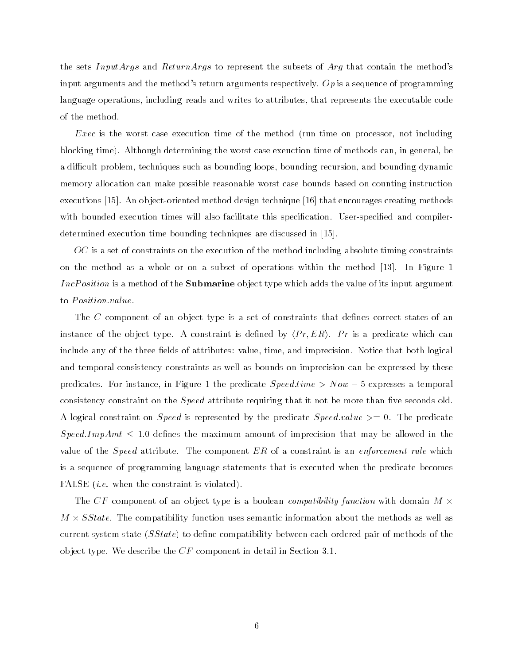the sets InputArgs and ReturnArgs to represent the subsets of Arg that contain the method's input arguments and the method's return arguments respectively. Op is a sequence of programming language operations, including reads and writes to attributes, that represents the executable code of the method.

 $Exec$  is the worst case execution time of the method (run time on processor, not including blocking time). Although determining the worst case exeuction time of methods can, in general, be a difficult problem, techniques such as bounding loops, bounding recursion, and bounding dynamic memory allocation can make possible reasonable worst case bounds based on counting instruction executions [15]. An ob ject-oriented method design technique [16] that encourages creating methods with bounded execution times will also facilitate this specification. User-specified and compilerdetermined execution time bounding techniques are discussed in [15].

 $OC$  is a set of constraints on the execution of the method including absolute timing constraints on the method as a whole or on a subset of operations within the method [13]. In Figure 1 IncPosition is a method of the **Submarine** object type which adds the value of its input argument to *Position* value.

The  $C$  component of an object type is a set of constraints that defines correct states of an instance of the object type. A constraint is defined by  $\langle Pr, ER \rangle$ . Pr is a predicate which can include any of the three fields of attributes: value, time, and imprecision. Notice that both logical and temporal consistency constraints as well as bounds on imprecision can be expressed by these predicates. For instance, in Figure 1 the predicate  $Speed.time > Now - 5$  expresses a temporal consistency constraint on the  $Speed$  attribute requiring that it not be more than five seconds old. A logical constraint on *Speed* is represented by the predicate *Speed.value*  $\geq 0$ . The predicate Speed.ImpAmt  $\leq 1.0$  defines the maximum amount of imprecision that may be allowed in the value of the *Speed* attribute. The component  $ER$  of a constraint is an *enforcement rule* which is a sequence of programming language statements that is executed when the predicate becomes FALSE *(i.e.* when the constraint is violated).

The CF component of an object type is a boolean *compatibility function* with domain  $M \times$ m is take the first function about the compatibility function in the methods as well as well as well as well a current system state  $(SState)$  to define compatibility between each ordered pair of methods of the object type. We describe the  $CF$  component in detail in Section 3.1.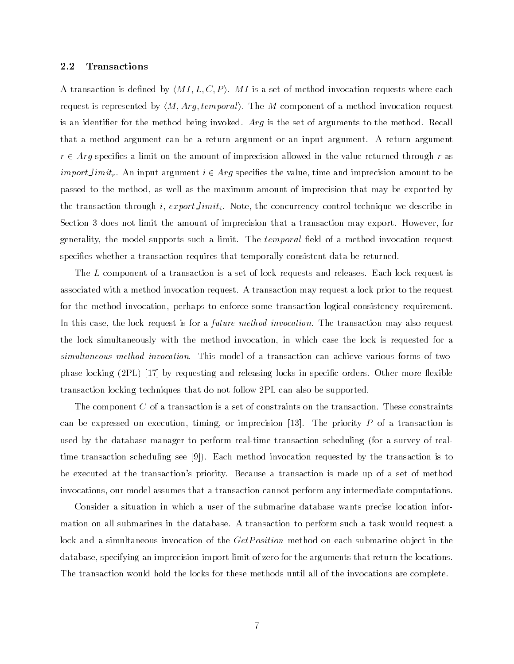#### 2.2Transactions

A transaction is defined by  $\langle M I, L, C, P \rangle$ . MI is a set of method invocation requests where each request is represented by  $\langle M, Arg, temporal \rangle$ . The M component of a method invocation request is an identifier for the method being invoked. Arg is the set of arguments to the method. Recall that a method argument can be a return argument or an input argument. A return argument  $r \in Arg$  specifies a limit on the amount of imprecision allowed in the value returned through r as *import limit<sub>r</sub>*. An input argument  $i \in Arg$  specifies the value, time and imprecision amount to be passed to the method, as well as the maximum amount of imprecision that may be exported by the transaction through i, export\_limit<sub>i</sub>. Note, the concurrency control technique we describe in Section 3 does not limit the amount of imprecision that a transaction may export. However, for generality, the model supports such a limit. The *temporal* field of a method invocation request specifies whether a transaction requires that temporally consistent data be returned.

The  $L$  component of a transaction is a set of lock requests and releases. Each lock request is associated with a method invocation request. A transaction may request a lock prior to the request for the method invocation, perhaps to enforce some transaction logical consistency requirement. In this case, the lock request is for a *future method invocation*. The transaction may also request the lock simultaneously with the method invocation, in which case the lock is requested for a simultaneous method invocation. This model of a transaction can achieve various forms of twophase locking  $(2PL)$  [17] by requesting and releasing locks in specific orders. Other more flexible transaction locking techniques that do not follow 2PL can also be supported.

The component  $C$  of a transaction is a set of constraints on the transaction. These constraints can be expressed on execution, timing, or imprecision  $[13]$ . The priority P of a transaction is used by the database manager to perform real-time transaction scheduling (for a survey of realtime transaction scheduling see [9]). Each method invocation requested by the transaction is to be executed at the transaction's priority. Because a transaction is made up of a set of method invocations, our model assumes that a transaction cannot perform any intermediate computations.

Consider a situation in which a user of the submarine database wants precise location information on all submarines in the database. A transaction to perform such a task would request a lock and a simultaneous invocation of the *GetPosition* method on each submarine object in the database, specifying an imprecision import limit of zero for the arguments that return the locations. The transaction would hold the locks for these methods until all of the invocations are complete.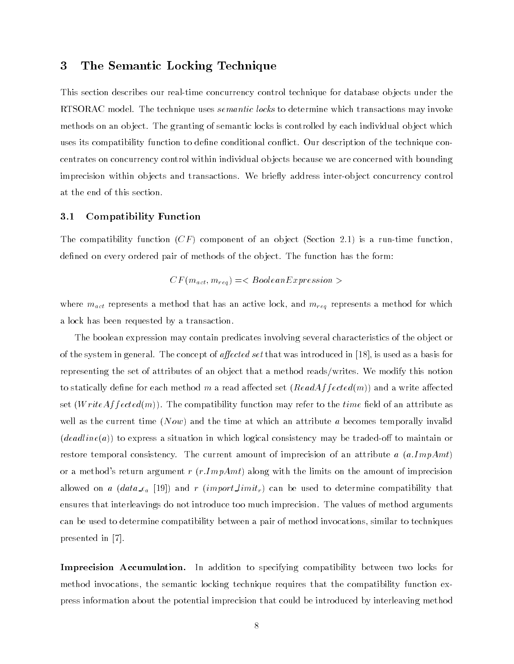## 3 The Semantic Locking Technique

This section describes our real-time concurrency control technique for database ob jects under the RTSORAC model. The technique uses *semantic locks* to determine which transactions may invoke methods on an ob ject. The granting of semantic locks is controlled by each individual ob ject which uses its compatibility function to define conditional conflict. Our description of the technique concentrates on concurrency control within individual ob jects because we are concerned with bounding imprecision within objects and transactions. We briefly address inter-object concurrency control at the end of this section.

#### 3.1Compatibility Function

The compatibility function  $(CF)$  component of an object (Section 2.1) is a run-time function, defined on every ordered pair of methods of the object. The function has the form:

$$
CF(m_{act}, m_{req}) =
$$

where  $m_{act}$  represents a method that has an active lock, and  $m_{req}$  represents a method for which a lock has been requested by a transaction.

The boolean expression may contain predicates involving several characteristics of the ob ject or of the system in general. The concept of *affected set* that was introduced in [18], is used as a basis for representing the set of attributes of an ob ject that a method reads/writes. We modify this notion to statically define for each method m a read affected set  $(ReadAffected(m))$  and a write affected set  $(WriteAffected(m))$ . The compatibility function may refer to the time field of an attribute as well as the current time  $(Now)$  and the time at which an attribute a becomes temporally invalid  $(deadline(a))$  to express a situation in which logical consistency may be traded-off to maintain or restore temporal consistency. The current amount of imprecision of an attribute a  $(a.ImpAmt)$ or a method's return argument r  $(r, ImpAmt)$  along with the limits on the amount of imprecision allowed on a (data  $\epsilon_a$  [19]) and r (import limit<sub>r</sub>) can be used to determine compatibility that ensures that interleavings do not introduce too much imprecision. The values of method arguments can be used to determine compatibility between a pair of method invocations, similar to techniques presented in [7].

Imprecision Accumulation. In addition to specifying compatibility between two locks for method invocations, the semantic locking technique requires that the compatibility function express information about the potential imprecision that could be introduced by interleaving method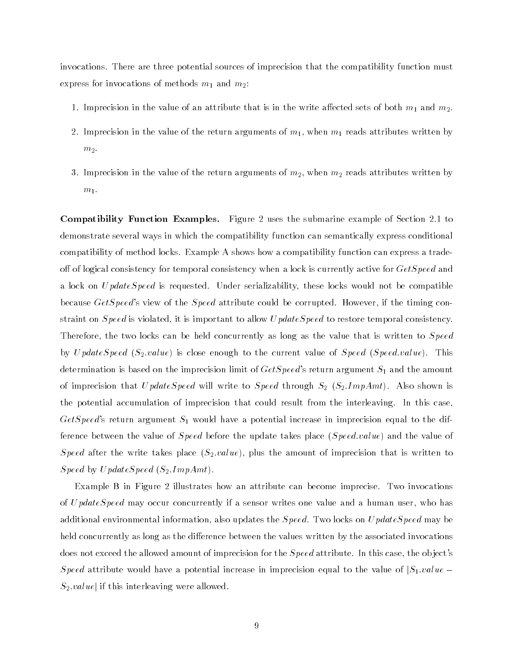invocations. There are three potential sources of imprecision that the compatibility function must express for invocations of methods  $m_1$  and  $m_2$ :

- 1. Imprecision in the value of an attribute that is in the write affected sets of both  $m_1$  and  $m_2$ .
- 2. Imprecision in the value of the return arguments of  $m_1$ , when  $m_1$  reads attributes written by  $m<sub>2</sub>$ .
- 3. Imprecision in the value of the return arguments of  $m_2$ , when  $m_2$  reads attributes written by  $m_1$ .

Compatibility Function Examples. Figure 2 uses the submarine example of Section 2.1 to demonstrate several ways in which the compatibility function can semantically express conditional compatibility of method locks. Example A shows how a compatibility function can express a tradeoff of logical consistency for temporal consistency when a lock is currently active for  $GetSpeed$  and a lock on  $UpdateSpeed$  is requested. Under serializability, these locks would not be compatible because *GetSpeed*'s view of the *Speed* attribute could be corrupted. However, if the timing constraint on *Speed* is violated, it is important to allow *UpdateSpeed* to restore temporal consistency. Therefore, the two locks can be held concurrently as long as the value that is written to Speed by UpdateSpeed  $(S_2.value)$  is close enough to the current value of Speed (Speed.value). This determination is based on the imprecision limit of  $GetSpeed$ 's return argument  $S_1$  and the amount of imprecision that UpdateSpeed will write to Speed through  $S_2$  ( $S_2$ .ImpAmt). Also shown is the potential accumulation of imprecision that could result from the interleaving. In this case, GetSpeed's return argument  $S_1$  would have a potential increase in imprecision equal to the difference between the value of *Speed* before the update takes place (*Speed.value*) and the value of Speed after the write takes place  $(S_2.value)$ , plus the amount of imprecision that is written to  $Speed by UpdateSpeed (S<sub>2</sub>.ImpAmt).$ 

Example B in Figure 2 illustrates how an attribute can become imprecise. Two invocations of UpdateSpeed may occur concurrently if a sensor writes one value and a human user, who has additional environmental information, also updates the  $Speed$ . Two locks on  $UpdateSpeed$  may be held concurrently as long as the difference between the values written by the associated invocations does not exceed the allowed amount of imprecision for the *Speed* attribute. In this case, the object's Speed attribute would have a potential increase in imprecision equal to the value of  $|S_1.value|$  $S_2.value$  if this interleaving were allowed.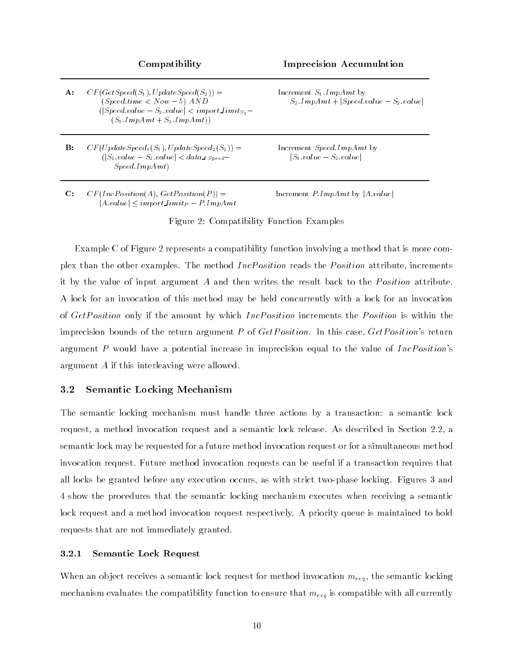**A:**  $CF(Getspeed(S_1), UpdateSpeed(S_2)) =$  Increment  $S_1$ . ImpAmt by  $(|Speed.value - S_2.value| < import\_limit_{S_1} (S_1 \cdot ImpAmt + S_2 \cdot ImpAmt))$ 

**B:**  $CF(Uplate Speed_1(S_1), U plate Speed_2(S_2)) =$  Increment Speed.ImpAmt by  $(|S_1.value - S_2.value| < data\_ \epsilon_{Speed} - |S_1.value - S_2.value|$  $Speed.ImpAmt)$ 

C:  $CF(IncPosition(A), GetPosition(P)) =$  Increment  $P.ImpAmt$  by  $|A.value|$  $|A.value| \leq import$  limit<sub>P</sub> - P:ImpAmt

Compatibility Imprecision Accumulation

 $(Speed.time < Now - 5)$   $AND$   $S_2. ImpAmt + |Speed.value - S_2.value|$ 

Figure 2: Compatibility Function Examples

Example C of Figure 2 represents a compatibility function involving a method that is more complex than the other examples. The method *IncPosition* reads the *Position* attribute, increments it by the value of input argument  $A$  and then writes the result back to the *Position* attribute. A lock for an invocation of this method may be held concurrently with a lock for an invocation of GetPosition only if the amount by which IncPosition increments the Position is within the imprecision bounds of the return argument P of  $GetPosition$ . In this case,  $GetPosition$ 's return argument P would have a potential increase in imprecision equal to the value of  $IncPosition's$ argument A if this interleaving were allowed.

#### 3.2Semantic Locking Mechanism

The semantic locking mechanism must handle three actions by a transaction: a semantic lock request, a method invocation request and a semantic lock release. As described in Section 2.2, a semantic lock may be requested for a future method invocation request or for a simultaneous method invocation request. Future method invocation requests can be useful if a transaction requires that all locks be granted before any execution occurs, as with strict two-phase locking. Figures 3 and 4 show the procedures that the semantic locking mechanism executes when receiving a semantic lock request and a method invocation request respectively. A priority queue is maintained to hold requests that are not immediately granted.

### 3.2.1 Semantic Lock Request

When an object receives a semantic lock request for method invocation  $m_{req}$ , the semantic locking mechanism evaluates the compatibility function to ensure that  $m_{req}$  is compatible with all currently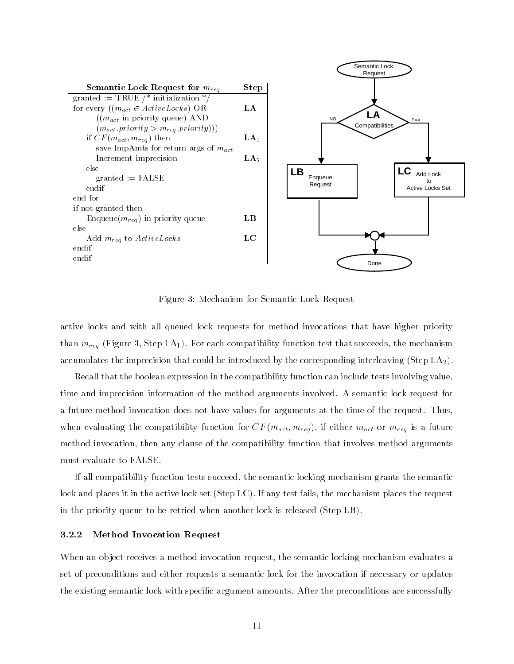

Figure 3: Mechanism for Semantic Lock Request

active locks and with all queued lock requests for method invocations that have higher priority than  $m_{reg}$  (Figure 3, Step LA<sub>1</sub>). For each compatibility function test that succeeds, the mechanism accumulates the imprecision that could be introduced by the corresponding interleaving (Step  $LA<sub>2</sub>$ ).

Recall that the boolean expression in the compatibility function can include tests involving value, time and imprecision information of the method arguments involved. A semantic lock request for a future method invocation does not have values for arguments at the time of the request. Thus, when evaluating the compatibility function for  $CF(m_{act}, m_{req})$ , if either  $m_{act}$  or  $m_{req}$  is a future method invocation, then any clause of the compatibility function that involves method arguments must evaluate to FALSE.

If all compatibility function tests succeed, the semantic locking mechanism grants the semantic lock and places it in the active lock set (Step LC). If any test fails, the mechanism places the request in the priority queue to be retried when another lock is released (Step LB).

### 3.2.2 Method Invocation Request

When an object receives a method invocation request, the semantic locking mechanism evaluates a set of preconditions and either requests a semantic lock for the invocation if necessary or updates the existing semantic lock with specific argument amounts. After the preconditions are successfully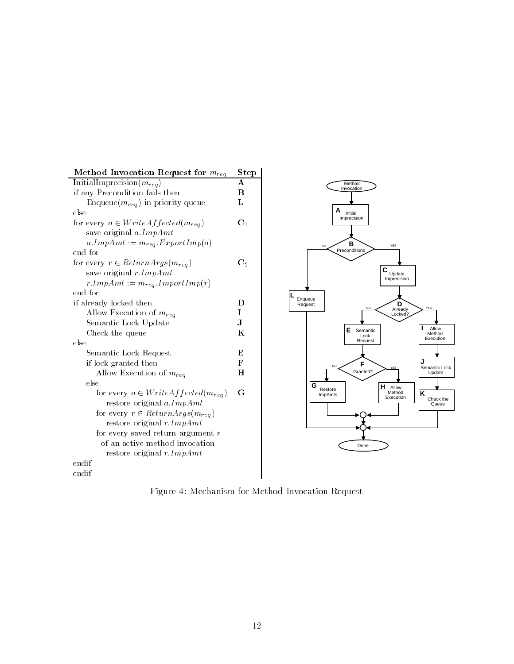

Figure 4: Mechanism for Method Invocation Request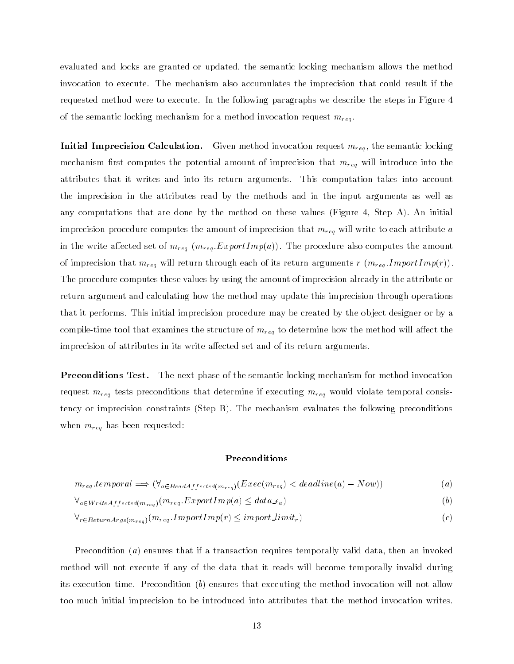evaluated and locks are granted or updated, the semantic locking mechanism allows the method invocation to execute. The mechanism also accumulates the imprecision that could result if the requested method were to execute. In the following paragraphs we describe the steps in Figure 4 of the semantic locking mechanism for a method invocation request  $m_{reg}$ .

**Initial Imprecision Calculation.** Given method invocation request  $m_{req}$ , the semantic locking mechanism first computes the potential amount of imprecision that  $m_{req}$  will introduce into the attributes that it writes and into its return arguments. This computation takes into account the imprecision in the attributes read by the methods and in the input arguments as well as any computations that are done by the method on these values (Figure 4, Step A). An initial imprecision procedure computes the amount of imprecision that  $m_{req}$  will write to each attribute a in the write affected set of  $m_{req}$  ( $m_{req}$  ExportImp(a)). The procedure also computes the amount of imprecision that  $m_{req}$  will return through each of its return arguments r  $(m_{req}.ImportImp(r)).$ The procedure computes these values by using the amount of imprecision already in the attribute or return argument and calculating how the method may update this imprecision through operations that it performs. This initial imprecision procedure may be created by the object designer or by a compile-time tool that examines the structure of  $m_{req}$  to determine how the method will affect the imprecision of attributes in its write affected set and of its return arguments.

Preconditions Test. The next phase of the semantic locking mechanism for method invocation request  $m_{req}$  tests preconditions that determine if executing  $m_{req}$  would violate temporal consistency or imprecision constraints (Step B). The mechanism evaluates the following preconditions when  $m_{reg}$  has been requested:

### Preconditions

$$
m_{req}.temporal \implies (\forall_{a \in ReadAffected(m_{req})} (Exec(m_{req}) < deadline(a) - Now))
$$
\n
$$
(a)
$$

$$
\forall_{a \in WriteAffected(m_{req})}(m_{req}.ExportImp(a) \leq data \_epsilona) \tag{b}
$$

$$
\forall_{r \in ReturnArgs(m_{reg})}(m_{reg}.ImportImp(r) \le importLimit_r)
$$
\n
$$
(c)
$$

Precondition (a) ensures that if a transaction requires temporally valid data, then an invoked method will not execute if any of the data that it reads will become temporally invalid during its execution time. Precondition  $(b)$  ensures that executing the method invocation will not allow too much initial imprecision to be introduced into attributes that the method invocation writes.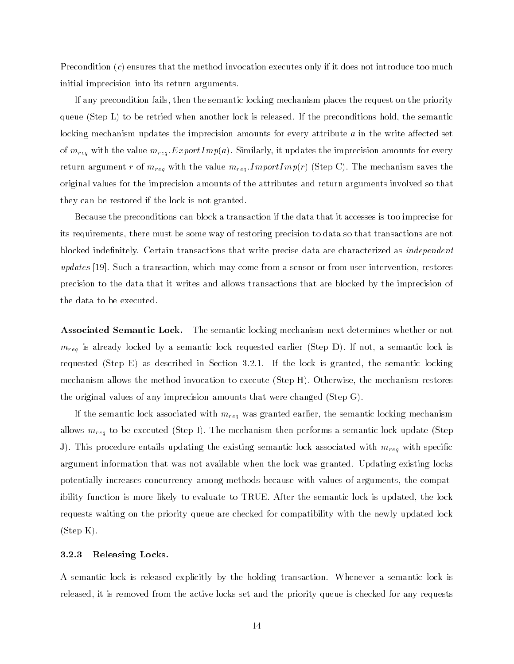Precondition  $(c)$  ensures that the method invocation executes only if it does not introduce too much initial imprecision into its return arguments.

If any precondition fails, then the semantic locking mechanism places the request on the priority queue (Step L) to be retried when another lock is released. If the preconditions hold, the semantic locking mechanism updates the imprecision amounts for every attribute  $a$  in the write affected set of  $m_{reg}$  with the value  $m_{reg}$ . ExportImp(a). Similarly, it updates the imprecision amounts for every return argument r of  $m_{req}$  with the value  $m_{req}$  ImportImp(r) (Step C). The mechanism saves the original values for the imprecision amounts of the attributes and return arguments involved so that they can be restored if the lock is not granted.

Because the preconditions can block a transaction if the data that it accesses is too imprecise for its requirements, there must be some way of restoring precision to data so that transactions are not blocked indefinitely. Certain transactions that write precise data are characterized as *independent* updates [19]. Such a transaction, which may come from a sensor or from user intervention, restores precision to the data that it writes and allows transactions that are blocked by the imprecision of the data to be executed.

**Associated Semantic Lock.** The semantic locking mechanism next determines whether or not  $m_{req}$  is already locked by a semantic lock requested earlier (Step D). If not, a semantic lock is requested (Step E) as described in Section 3.2.1. If the lock is granted, the semantic locking mechanism allows the method invocation to execute (Step H). Otherwise, the mechanism restores the original values of any imprecision amounts that were changed (Step G).

If the semantic lock associated with  $m_{req}$  was granted earlier, the semantic locking mechanism allows  $m_{reg}$  to be executed (Step I). The mechanism then performs a semantic lock update (Step J). This procedure entails updating the existing semantic lock associated with  $m_{reg}$  with specific argument information that was not available when the lock was granted. Updating existing locks potentially increases concurrency among methods because with values of arguments, the compatibility function is more likely to evaluate to TRUE. After the semantic lock is updated, the lock requests waiting on the priority queue are checked for compatibility with the newly updated lock (Step K).

### 3.2.3 Releasing Locks.

A semantic lock is released explicitly by the holding transaction. Whenever a semantic lock is released, it is removed from the active locks set and the priority queue is checked for any requests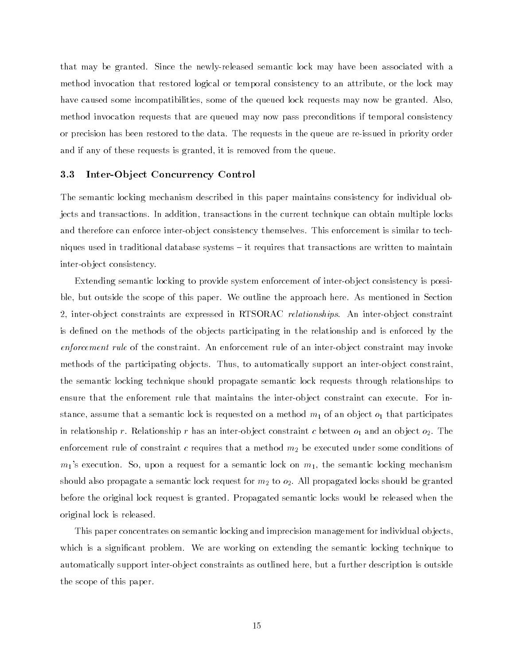that may be granted. Since the newly-released semantic lock may have been associated with a method invocation that restored logical or temporal consistency to an attribute, or the lock may have caused some incompatibilities, some of the queued lock requests may now be granted. Also, method invocation requests that are queued may now pass preconditions if temporal consistency or precision has been restored to the data. The requests in the queue are re-issued in priority order and if any of these requests is granted, it is removed from the queue.

#### 3.3Inter-Ob ject Concurrency Control

The semantic locking mechanism described in this paper maintains consistency for individual objects and transactions. In addition, transactions in the current technique can obtain multiple locks and therefore can enforce inter-object consistency themselves. This enforcement is similar to techniques used in traditional database systems  $-$  it requires that transactions are written to maintain inter-ob ject consistency.

Extending semantic locking to provide system enforcement of inter-ob ject consistency is possible, but outside the scope of this paper. We outline the approach here. As mentioned in Section 2, inter-object constraints are expressed in RTSORAC *relationships*. An inter-object constraint is defined on the methods of the objects participating in the relationship and is enforced by the enforcement rule of the constraint. An enforcement rule of an inter-ob ject constraint may invoke methods of the participating objects. Thus, to automatically support an inter-object constraint. the semantic locking technique should propagate semantic lock requests through relationships to ensure that the enforement rule that maintains the inter-object constraint can execute. For instance, assume that a semantic lock is requested on a method  $m_1$  of an object  $o_1$  that participates in relationship r. Relationship r has an inter-object constraint c between  $o_1$  and an object  $o_2$ . The enforcement rule of constraint c requires that a method  $m_2$  be executed under some conditions of  $m_1$ 's execution. So, upon a request for a semantic lock on  $m_1$ , the semantic locking mechanism should also propagate a semantic lock request for  $m_2$  to  $o_2$ . All propagated locks should be granted before the original lock request is granted. Propagated semantic locks would be released when the original lock is released.

This paper concentrates on semantic locking and imprecision management for individual ob jects, which is a signicant problem. We are working on extending the semantic locking technique to automatically support inter-ob ject constraints as outlined here, but a further description is outside the scope of this paper.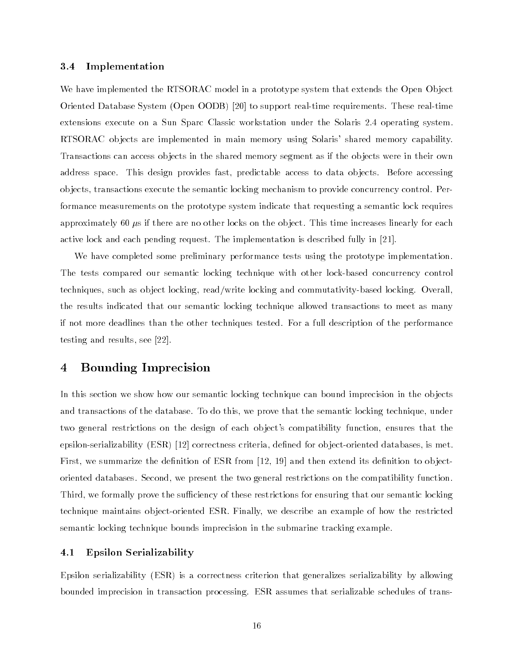#### 3.4Implementation

We have implemented the RTSORAC model in a prototype system that extends the Open Object Oriented Database System (Open OODB) [20] to support real-time requirements. These real-time extensions execute on a Sun Sparc Classic workstation under the Solaris 2.4 operating system. RTSORAC ob jects are implemented in main memory using Solaris' shared memory capability. Transactions can access objects in the shared memory segment as if the objects were in their own address space. This design provides fast, predictable access to data ob jects. Before accessing ob jects, transactions execute the semantic locking mechanism to provide concurrency control. Performance measurements on the prototype system indicate that requesting a semantic lock requires approximately 60  $\mu$ s if there are no other locks on the object. This time increases linearly for each active lock and each pending request. The implementation is described fully in [21].

We have completed some preliminary performance tests using the prototype implementation. The tests compared our semantic locking technique with other lock-based concurrency control techniques, such as ob ject locking, read/write locking and commutativity-based locking. Overall, the results indicated that our semantic locking technique allowed transactions to meet as many if not more deadlines than the other techniques tested. For a full description of the performance testing and results, see [22].

## 4 Bounding Imprecision

In this section we show how our semantic locking technique can bound imprecision in the objects and transactions of the database. To do this, we prove that the semantic locking technique, under two general restrictions on the design of each ob ject's compatibility function, ensures that the epsilon-serializability (ESR) [12] correctness criteria, defined for object-oriented databases, is met. First, we summarize the definition of ESR from  $[12, 19]$  and then extend its definition to objectoriented databases. Second, we present the two general restrictions on the compatibility function. Third, we formally prove the sufficiency of these restrictions for ensuring that our semantic locking technique maintains ob ject-oriented ESR. Finally, we describe an example of how the restricted semantic locking technique bounds imprecision in the submarine tracking example.

#### 4.1Epsilon Serializability

Epsilon serializability (ESR) is a correctness criterion that generalizes serializability by allowing bounded imprecision in transaction processing. ESR assumes that serializable schedules of trans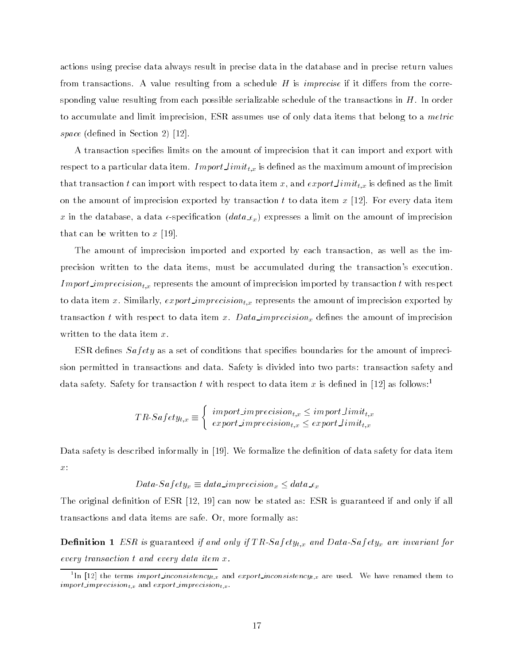actions using precise data always result in precise data in the database and in precise return values from transactions. A value resulting from a schedule  $H$  is *imprecise* if it differs from the corresponding value resulting from each possible serializable schedule of the transactions in  $H$ . In order to accumulate and limit imprecision, ESR assumes use of only data items that belong to a metric  $\sim$   $\mu$  a.g.  $\mu$  is the section  $\mu$  (i.e., i.e., i.e., i.e., i.e., i.e., i.e., i.e., i.e., i.e., i.e., i.e., i.e., i.e., i.e., i.e., i.e., i.e., i.e., i.e., i.e., i.e., i.e., i.e., i.e., i.e., i.e., i.e., i.e., i.e.,

A transaction species limits on the amount of imprecision that it can import and export with respect to a particular data item. Import  $limit_{t,x}$  is defined as the maximum amount of imprecision that transaction t can import with respect to data item x, and  $exportLimit_{t,x}$  is defined as the limit on the amount of imprecision exported by transaction t to data item  $x$  [12]. For every data item x in the database, a data  $\epsilon$ -specification  $(data \epsilon_x)$  expresses a limit on the amount of imprecision that can be written to  $x \, [19]$ .

The amount of imprecision imported and exported by each transaction, as well as the imprecision written to the data items, must be accumulated during the transaction's execution. Import imprecision $_{t,x}$  represents the amount of imprecision imported by transaction  $t$  with respect to data item x. Similarly,  $export\_imprecision_{t,x}$  represents the amount of imprecision exported by transaction t with respect to data item x. Data imprecision<sub>x</sub> defines the amount of imprecision written to the data item x.

ESR defines  $Safety$  as a set of conditions that specifies boundaries for the amount of imprecision permitted in transactions and data. Safety is divided into two parts: transaction safety and data safety. Safety for transaction t with respect to data item x is defined in [12] as follows:<sup>1</sup>

$$
TR\text{-}Safety_{t,x}\equiv\left\{\begin{array}{l} import\_imprecision_{t,x} \leq import\_limit_{t,x} \\ export\_imprecision_{t,x} \leq export\_limit_{t,x} \end{array}\right.
$$

Data safety is described informally in [19]. We formalize the definition of data safety for data item  $\boldsymbol{x}$  :

$$
Data\emph{-}Safety_x \equiv data\_imprecision_x \leq data\_ \epsilon_x
$$

The original definition of  $ESR$  [12, 19] can now be stated as:  $ESR$  is guaranteed if and only if all transactions and data items are safe. Or, more formally as:

**Definition 1** ESR is guaranteed if and only if TR-Safety<sub>t,x</sub> and Data-Safety<sub>x</sub> are invariant for every transaction t and every data tiem x.

<sup>&</sup>quot;In  $|12|$  the terms i*mport inconsistencyt*, $\bar{x}$  and  $export\_inconsistency_{t,\bar{x}}$  are used. We have renamed them to  $import\_imprecision_{t,x}$  and  $export\_imprecision_{t,x}$ .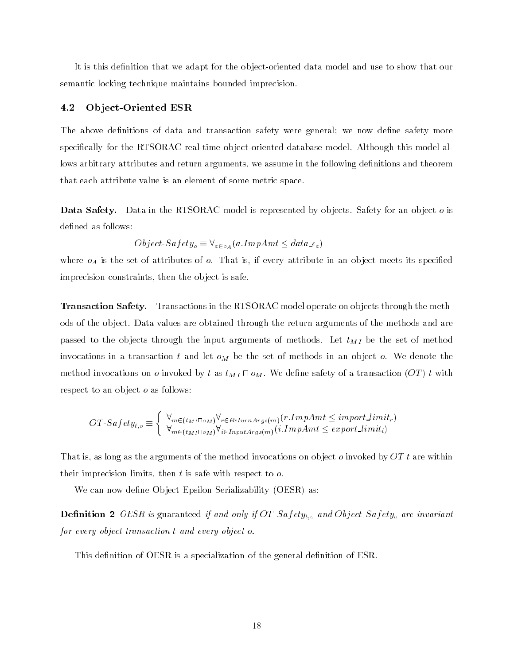It is this definition that we adapt for the object-oriented data model and use to show that our semantic locking technique maintains bounded imprecision.

#### 4.2Ob ject-Oriented ESR

The above definitions of data and transaction safety were general; we now define safety more specifically for the RTSORAC real-time object-oriented database model. Although this model allows arbitrary attributes and return arguments, we assume in the following definitions and theorem that each attribute value is an element of some metric space.

**Data Safety.** Data in the RTSORAC model is represented by objects. Safety for an object o is defined as follows:

$$
Object\text{-}Safety_o \equiv \forall_{a \in o_A}(a\text{ }ImpAmt \leq data \_\epsilon_a)
$$

where  $o<sub>A</sub>$  is the set of attributes of  $o$ . That is, if every attribute in an object meets its specified imprecision constraints, then the ob ject is safe.

**Transaction Safety.** Transactions in the RTSORAC model operate on objects through the methods of the ob ject. Data values are obtained through the return arguments of the methods and are passed to the objects through the input arguments of methods. Let  $t_{MI}$  be the set of method invocations in a transaction t and let  $o_M$  be the set of methods in an object o. We denote the method invocations on *o* invoked by t as  $t_{MI} \sqcap o_M$ . We define safety of a transaction  $(OT)$  t with respect to an object *o* as follows:

$$
OT\text{-}Safety_{t,o} \equiv \begin{cases} \forall_{m \in (t_{MI} \sqcap o_M)} \forall_{r \in ReturnArgs(m)} (r.ImpAmt \le importLimit_r) \\ \forall_{m \in (t_{MI} \sqcap o_M)} \forall_{i \in InputArgs(m)} (i.ImpAmt \le exportLimit_i) \end{cases}
$$

That is, as long as the arguments of the method invocations on object o invoked by  $OTt$  are within their imprecision limits, then  $t$  is safe with respect to  $o$ .

We can now define Object Epsilon Serializability (OESR) as:

**Definition 2** OESR is guaranteed if and only if OT-Safety<sub>t,</sub> and Object-Safety<sub>o</sub> are invariant for every object transaction tand every object o.

This definition of OESR is a specialization of the general definition of ESR.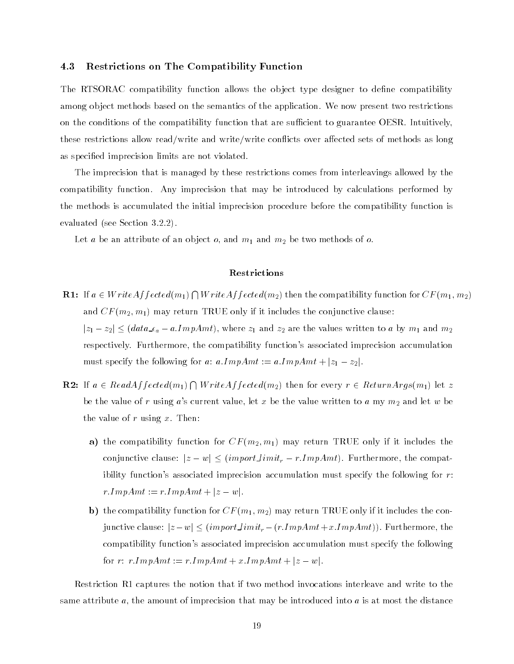#### 4.3Restrictions on The Compatibility Function

The RTSORAC compatibility function allows the object type designer to define compatibility among object methods based on the semantics of the application. We now present two restrictions on the conditions of the compatibility function that are sufficient to guarantee OESR. Intuitively, these restrictions allow read/write and write/write conflicts over affected sets of methods as long as specied imprecision limits are not violated.

The imprecision that is managed by these restrictions comes from interleavings allowed by the compatibility function. Any imprecision that may be introduced by calculations performed by the methods is accumulated the initial imprecision procedure before the compatibility function is evaluated (see Section 3.2.2).

Let  $a$  be an attribute of an object  $o$ , and  $m_1$  and  $m_2$  be two methods of  $o$ .

## Restrictions

- **R1:** If  $a \in WriteAffected(m_1) \bigcap WriteAffected(m_2)$  then the compatibility function for  $CF(m_1, m_2)$ and  $CF(m_2, m_1)$  may return TRUE only if it includes the conjunctive clause:  $|z_1 - z_2| \leq (data \angle_{a} - a \cdot ImpAmt)$ , where  $z_1$  and  $z_2$  are the values written to a by  $m_1$  and  $m_2$ respectively. Furthermore, the compatibility function's associated imprecision accumulation must specify the following for a:  $a. ImpAmt := a. ImpAmt + |z_1 - z_2|$
- **R2:** If  $a \in ReadAffected(m_1) \bigcap WriteAffected(m_2)$  then for every  $r \in ReturnArgs(m_1)$  let  $z$ be the value of r using a's current value, let x be the value written to a my  $m_2$  and let w be the value of  $r$  using  $x$ . Then:
	- a) the compatibility function for  $CF(m_2, m_1)$  may return TRUE only if it includes the conjunctive clause:  $|z - w| \leq (importLimit_r - r.ImpAmt)$ . Furthermore, the compatibility function's associated imprecision accumulation must specify the following for r:  $r. ImpAmt := r. ImpAmt + |z - w|.$
	- b) the compatibility function for  $CF(m_1, m_2)$  may return TRUE only if it includes the conjunctive clause:  $|z - w| \leq (importLimit_r - (r.ImpAmt+x.ImpAmt))$ . Furthermore, the compatibility function's associated imprecision accumulation must specify the following for  $r: r. ImpAmt := r. ImpAmt + x. ImpAmt + |z - w|$ .

Restriction R1 captures the notion that if two method invocations interleave and write to the same attribute  $a$ , the amount of imprecision that may be introduced into  $a$  is at most the distance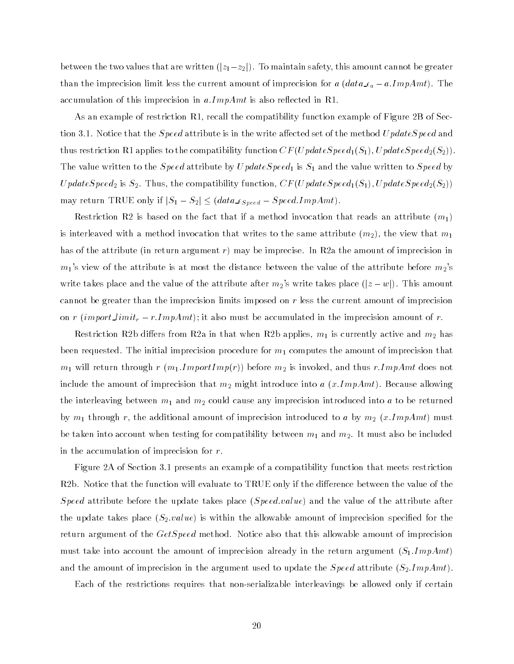between the two values that are written  $(|z_1-z_2|)$ . To maintain safety, this amount cannot be greater than the imprecision limit less the current amount of imprecision for a  $(data \epsilon_a - a. ImpAmt)$ . The accumulation of this imprecision in  $a$ . ImpAmt is also reflected in R1.

As an example of restriction R1, recall the compatibility function example of Figure 2B of Section 3.1. Notice that the *Speed* attribute is in the write affected set of the method Update Speed and thus restriction R1 applies to the compatibility function  $CF(UpdateSpeed_1(S_1), UpdateSpeed_2(S_2))$ . The value written to the *Speed* attribute by  $UpdateSpeed_1$  is  $S_1$  and the value written to *Speed* by UpdateSpeed<sub>2</sub> is  $S_2$ . Thus, the compatibility function,  $CF(UpdateSpeed_1(S_1), UpdateSpeed_2(S_2))$ may return TRUE only if  $|S_1 - S_2| \leq (data \text{ of } S_0, \text{ of } S_1)$ .

Restriction R2 is based on the fact that if a method invocation that reads an attribute  $(m_1)$ is interleaved with a method invocation that writes to the same attribute  $(m_2)$ , the view that  $m_1$ has of the attribute (in return argument r) may be imprecise. In R2a the amount of imprecision in  $m_1$ 's view of the attribute is at most the distance between the value of the attribute before  $m_2$ 's write takes place and the value of the attribute after  $m_2$ 's write takes place  $(|z-w|)$ . This amount cannot be greater than the imprecision limits imposed on r less the current amount of imprecision on r (import  $limit_r - r. ImpAmt$ ); it also must be accumulated in the imprecision amount of r.

Restriction R2b differs from R2a in that when R2b applies,  $m_1$  is currently active and  $m_2$  has been requested. The initial imprecision procedure for  $m_1$  computes the amount of imprecision that  $m_1$  will return through  $r$   $(m_1.ImportImp(r))$  before  $m_2$  is invoked, and thus  $r. ImpAmt$  does not include the amount of imprecision that  $m_2$  might introduce into a  $(x.ImpAmt)$ . Because allowing the interleaving between  $m_1$  and  $m_2$  could cause any imprecision introduced into a to be returned by  $m_1$  through r, the additional amount of imprecision introduced to a by  $m_2$  (x.ImpAmt) must be taken into account when testing for compatibility between  $m_1$  and  $m_2$ . It must also be included in the accumulation of imprecision for r.

Figure 2A of Section 3.1 presents an example of a compatibility function that meets restriction R2b. Notice that the function will evaluate to TRUE only if the difference between the value of the Speed attribute before the update takes place (Speed.value) and the value of the attribute after the update takes place  $(S_2.value)$  is within the allowable amount of imprecision specified for the return argument of the *GetSpeed* method. Notice also that this allowable amount of imprecision must take into account the amount of imprecision already in the return argument  $(S_1 \mathit{.ImpAmt})$ and the amount of imprecision in the argument used to update the *Speed* attribute  $(S_2.ImpAmt)$ .

Each of the restrictions requires that non-serializable interleavings be allowed only if certain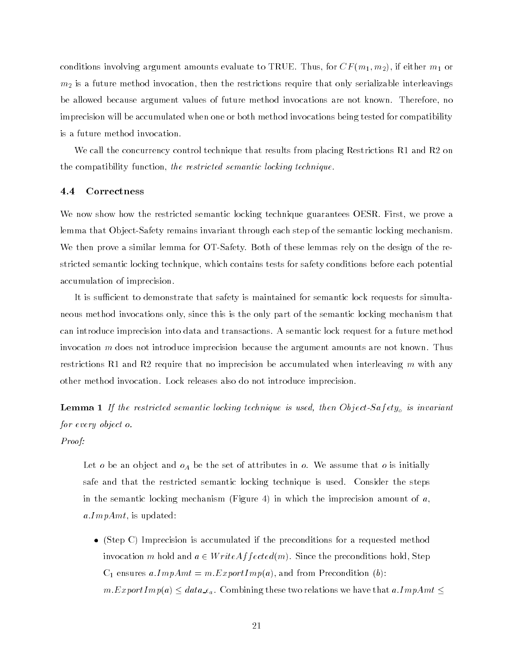conditions involving argument amounts evaluate to TRUE. Thus, for  $CF(m_1, m_2)$ , if either  $m_1$  or  $m<sub>2</sub>$  is a future method invocation, then the restrictions require that only serializable interleavings be allowed because argument values of future method invocations are not known. Therefore, no imprecision will be accumulated when one or both method invocations being tested for compatibility is a future method invocation.

We call the concurrency control technique that results from placing Restrictions R1 and R2 on the compatibility function, the restricted semantic locking technique.

#### 4.4Correctness

We now show how the restricted semantic locking technique guarantees OESR. First, we prove a lemma that Ob ject-Safety remains invariant through each step of the semantic locking mechanism. We then prove a similar lemma for OT-Safety. Both of these lemmas rely on the design of the restricted semantic locking technique, which contains tests for safety conditions before each potential accumulation of imprecision.

It is sufficient to demonstrate that safety is maintained for semantic lock requests for simultaneous method invocations only, since this is the only part of the semantic locking mechanism that can introduce imprecision into data and transactions. A semantic lock request for a future method invocation  $m$  does not introduce imprecision because the argument amounts are not known. Thus restrictions R1 and R2 require that no imprecision be accumulated when interleaving m with any other method invocation. Lock releases also do not introduce imprecision.

**Lemma 1** If the restricted semantic locking technique is used, then Object-Safety<sub>o</sub> is invariant for every object o.

Proof:

Let o be an object and  $o<sub>A</sub>$  be the set of attributes in o. We assume that o is initially safe and that the restricted semantic locking technique is used. Consider the steps in the semantic locking mechanism (Figure 4) in which the imprecision amount of  $a$ ,  $a. ImpAmt$ , is updated:

 (Step C) Imprecision is accumulated if the preconditions for a requested method invocation m hold and  $a \in WriteAffected(m)$ . Since the preconditions hold, Step  $C_1$  ensures a.ImpAmt = m.ExportImp(a), and from Precondition (b):  $m.ExportImp(a) \leq data \varepsilon_a$ . Combining these two relations we have that a.ImpAmt  $\leq$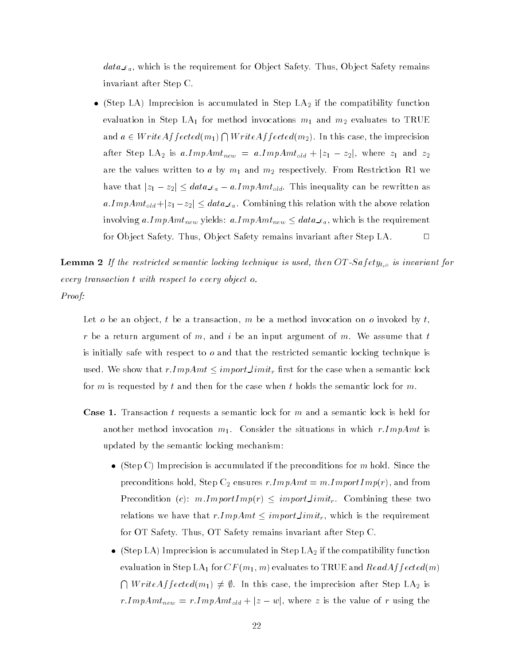$data_{a}$ , which is the requirement for Object Safety. Thus, Object Safety remains invariant after Step C.

• (Step LA) Imprecision is accumulated in Step  $LA<sub>2</sub>$  if the compatibility function evaluation in Step LA<sub>1</sub> for method invocations  $m_1$  and  $m_2$  evaluates to TRUE and  $a \in WriteAffected(m_1) \bigcap WriteAffected(m_2)$ . In this case, the imprecision after Step LA<sub>2</sub> is  $a. ImpAmt_{new} = a. ImpAmt_{old} + |z_1 - z_2|$ , where  $z_1$  and  $z_2$ are the values written to a by  $m_1$  and  $m_2$  respectively. From Restriction R1 we have that  $|z_1 - z_2| \leq data \epsilon_a - a \cdot ImpAmt_{old}$ . This inequality can be rewritten as  $a. ImpAmt_{old} + |z_1 - z_2| \leq data \epsilon_a$ . Combining this relation with the above relation involving a.ImpA $m_{new}$  yields: a.ImpA $m_{new} \leq data_{\text{Lc}}$ , which is the requirement for Object Safety. Thus, Object Safety remains invariant after Step LA.  $\Box$ 

**Lemma 2** If the restricted semantic locking technique is used, then  $OT-Safety_{t,o}$  is invariant for every transaction twith respect to every object o. Proof:

Let o be an object, t be a transaction, m be a method invocation on o invoked by  $t$ , r be a return argument of m, and i be an input argument of m. We assume that t is initially safe with respect to  $o$  and that the restricted semantic locking technique is used. We show that  $r. ImpAmt \le importLimit_r$  first for the case when a semantic lock for m is requested by t and then for the case when t holds the semantic lock for m.

- Case 1. Transaction t requests a semantic lock for m and a semantic lock is held for another method invocation  $m_1$ . Consider the situations in which r.ImpAmt is updated by the semantic locking mechanism:
	- (Step C) Imprecision is accumulated if the preconditions for m hold. Since the preconditions hold, Step  $\mathrm{C}_2$  ensures  $r. ImpAmt = m. ImportImp(r),$  and from Precondition (c):  $m. ImportImp(r) \leq importLimit_r$ . Combining these two relations we have that  $r. ImpAmt \leq import\_limit_r,$  which is the requirement for OT Safety. Thus, OT Safety remains invariant after Step C.
	- (Step LA) Imprecision is accumulated in Step  $LA<sub>2</sub>$  if the compatibility function evaluation in Step LA<sub>1</sub> for  $CF(m_1, m)$  evaluates to TRUE and ReadAf fected(m)  $\bigcap WriteAffected(m_1) \neq \emptyset$ . In this case, the imprecision after Step LA<sub>2</sub> is  $r. ImpAmt_{new} = r. ImpAmt_{old} + |z - w|$ , where z is the value of r using the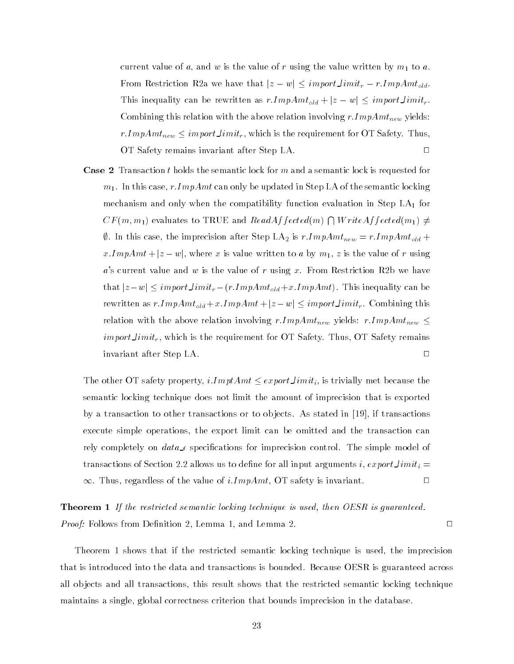current value of  $a$ , and  $w$  is the value of  $r$  using the value written by  $m_1$  to  $a$ . From Restriction R2a we have that  $|z - w| \leq importLimit_r - r.ImpAmt_{old}.$ This inequality can be rewritten as  $r. ImpAmt_{old} + |z - w| \le importLimit_r$ . Combining this relation with the above relation involving  $r.ImpAmt_{new}$  yields: r. $ImpAmt_{new} \leq importLimit_r,$  which is the requirement for OT Safety. Thus, OT Safety remains invariant after Step LA.  $\hfill \Box$ 

**Case 2** Transaction t holds the semantic lock for m and a semantic lock is requested for  $m_1$ . In this case, r.ImpAmt can only be updated in Step LA of the semantic locking mechanism and only when the compatibility function evaluation in Step  $LA<sub>1</sub>$  for  $CF(m, m_1)$  evaluates to TRUE and  $ReadAffected(m) \bigcap WriteAffected(m_1) \neq$  $\emptyset$ . In this case, the imprecision after Step LA<sub>2</sub> is  $r.ImpAmt_{new} = r.ImpAmt_{old} +$ x.ImpAmt +  $|z - w|$ , where x is value written to a by  $m_1$ , z is the value of r using  $a$ 's current value and  $w$  is the value of  $r$  using  $x$ . From Restriction R2b we have that  $|z-w| \leq import$  limit<sub>r</sub>  $-(r.ImpAmt_{old}+x$ **ImpAmt** $). This inequality can be$ rewritten as  $r.ImpAmt_{old} + x.ImpAmt + |z - w| \le importLimit_r$ . Combining this relation with the above relation involving  $rImpAmt_{new}$  yields:  $rImpAmt_{new} \leq$  $import limit_r$ , which is the requirement for OT Safety. Thus, OT Safety remains invariant after Step LA. <sup>2</sup>  $\Box$ 

The other OT safety property,  $iImptAmt \leq exportLimit_i$ , is trivially met because the semantic locking technique does not limit the amount of imprecision that is exported by a transaction to other transactions or to ob jects. As stated in [19], if transactions execute simple operations, the export limit can be omitted and the transaction can rely completely on  $data_{\text{A}}$  specifications for imprecision control. The simple model of transactions of Section 2.2 allows us to define for all input arguments i,  $exportLimit_i =$  $\Box$  $\infty$ . Thus, regardless of the value of i.*ImpAmt*, OT safety is invariant.

**Theorem 1** If the restricted semantic locking technique is used, then OESR is guaranteed. Proof: Follows from Denition 2, Lemma 1, and Lemma 2. <sup>2</sup>

Theorem 1 shows that if the restricted semantic locking technique is used, the imprecision that is introduced into the data and transactions is bounded. Because OESR is guaranteed across all ob jects and all transactions, this result shows that the restricted semantic locking technique maintains a single, global correctness criterion that bounds imprecision in the database.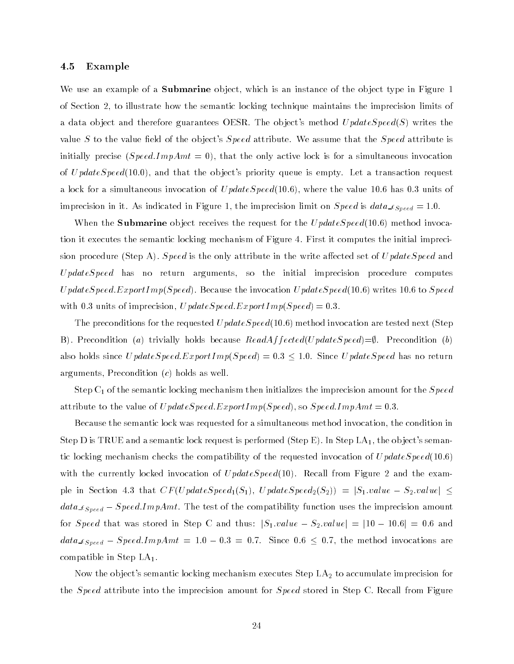#### 4.5Example

We use an example of a **Submarine** object, which is an instance of the object type in Figure 1 of Section 2, to illustrate how the semantic locking technique maintains the imprecision limits of a data object and therefore guarantees OESR. The object's method  $UpdateSpeed(S)$  writes the value S to the value field of the object's  $Speed$  attribute. We assume that the Speed attribute is initially precise ( $SpeedImpAmt = 0$ ), that the only active lock is for a simultaneous invocation of  $UpdateSpeed(10.0)$ , and that the object's priority queue is empty. Let a transaction request a lock for a simultaneous invocation of  $UpdateSpeed(10.6)$ , where the value 10.6 has 0.3 units of imprecision in it. As indicated in Figure 1, the imprecision limit on  $Speed$  is  $data_{Speed} = 1.0$ .

When the **Submarine** object receives the request for the  $UpdateSpeed(10.6)$  method invocation it executes the semantic locking mechanism of Figure 4. First it computes the initial imprecision procedure (Step A). Speed is the only attribute in the write affected set of  $UpdateSpeed$  and  $UpdateSpeed$  has no return arguments, so the initial imprecision procedure computes UpdateSpeed.ExportImp(Speed). Because the invocation UpdateSpeed(10.6) writes 10.6 to Speed with 0.3 units of imprecision,  $UpdateSpeed\;ExportImp(Speed) = 0.3$ .

The preconditions for the requested  $UpdateSpeed(10.6)$  method invocation are tested next (Step B). Precondition (a) trivially holds because  $ReadAffected(UpdateSpeed) = \emptyset$ . Precondition (b) also holds since  $UpdateSpeed. ExpandImp(Speed) = 0.3 \leq 1.0$ . Since U pdateSpeed has no return arguments, Precondition (c) holds as well.

Step  $\mathrm{C}_1$  of the semantic locking mechanism then initializes the imprecision amount for the  $Speed$ attribute to the value of  $UpdateSpeed. Expand (Speed), so Speed. ImpAmt = 0.3$ .

Because the semantic lock was requested for a simultaneous method invocation, the condition in Step D is TRUE and a semantic lock request is performed (Step E). In Step  $LA_1$ , the object's semantic locking mechanism checks the compatibility of the requested invocation of  $UpdateSpeed(10.6)$ with the currently locked invocation of  $UpdateSpeed(10)$ . Recall from Figure 2 and the example in Section 4.3 that  $CF(UpdateSpeed_1(S_1), UpdateSpeed_2(S_2)) = |S_1.value - S_2.value| \le$  $data_{Speed} - Speed. ImpAmt$ . The test of the compatibility function uses the imprecision amount for Speed that was stored in Step C and thus:  $|S_1.value - S_2.value| = |10 - 10.6| = 0.6$  and  $data_{Speed} - Speed. ImpAmt = 1.0 - 0.3 = 0.7.$  Since 0.6  $\leq$  0.7, the method invocations are compatible in Step  $LA<sub>1</sub>$ .

Now the object's semantic locking mechanism executes Step  ${\rm LA}_2$  to accumulate imprecision for the *Speed* attribute into the imprecision amount for *Speed* stored in Step C. Recall from Figure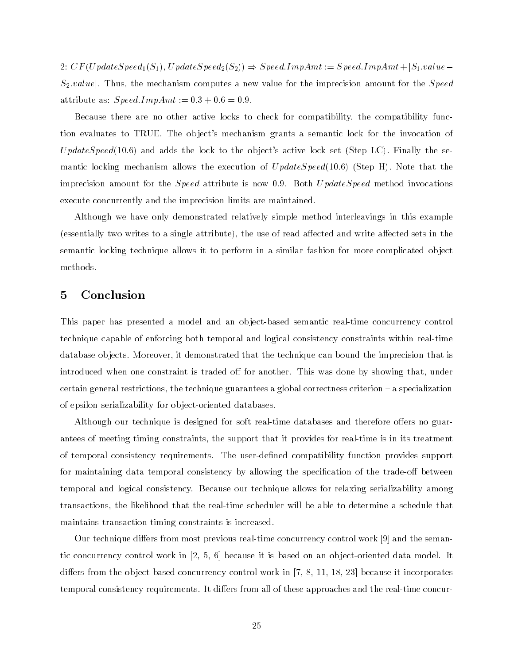2:  $CF(UpdateSpeed_1(S_1), UpdateSpeed_2(S_2)) \Rightarrow Speed.ImpAmt := Speed.ImpAmt + |S_1.value S_2.value$ . Thus, the mechanism computes a new value for the imprecision amount for the *Speed* attribute as:  $Speed.ImpAmt := 0.3 + 0.6 = 0.9$ .

Because there are no other active locks to check for compatibility, the compatibility function evaluates to TRUE. The object's mechanism grants a semantic lock for the invocation of  $UpdateSpeed(10.6)$  and adds the lock to the object's active lock set (Step LC). Finally the semantic locking mechanism allows the execution of  $UpdateSpeed(10.6)$  (Step H). Note that the imprecision amount for the *Speed* attribute is now 0.9. Both  $UpdateSpeed$  method invocations execute concurrently and the imprecision limits are maintained.

Although we have only demonstrated relatively simple method interleavings in this example (essentially two writes to a single attribute), the use of read affected and write affected sets in the semantic locking technique allows it to perform in a similar fashion for more complicated ob ject methods.

## 5 Conclusion

This paper has presented a model and an object-based semantic real-time concurrency control technique capable of enforcing both temporal and logical consistency constraints within real-time database objects. Moreover, it demonstrated that the technique can bound the imprecision that is introduced when one constraint is traded off for another. This was done by showing that, under certain general restrictions, the technique guarantees a global correctness criterion  $-\infty$  specialization of epsilon serializability for ob ject-oriented databases.

Although our technique is designed for soft real-time databases and therefore offers no guarantees of meeting timing constraints, the support that it provides for real-time is in its treatment of temporal consistency requirements. The user-defined compatibility function provides support for maintaining data temporal consistency by allowing the specification of the trade-off between temporal and logical consistency. Because our technique allows for relaxing serializability among transactions, the likelihood that the real-time scheduler will be able to determine a schedule that maintains transaction timing constraints is increased.

Our technique differs from most previous real-time concurrency control work  $[9]$  and the semantic concurrency control work in [2, 5, 6] because it is based on an ob ject-oriented data model. It differs from the object-based concurrency control work in  $[7, 8, 11, 18, 23]$  because it incorporates temporal consistency requirements. It differs from all of these approaches and the real-time concur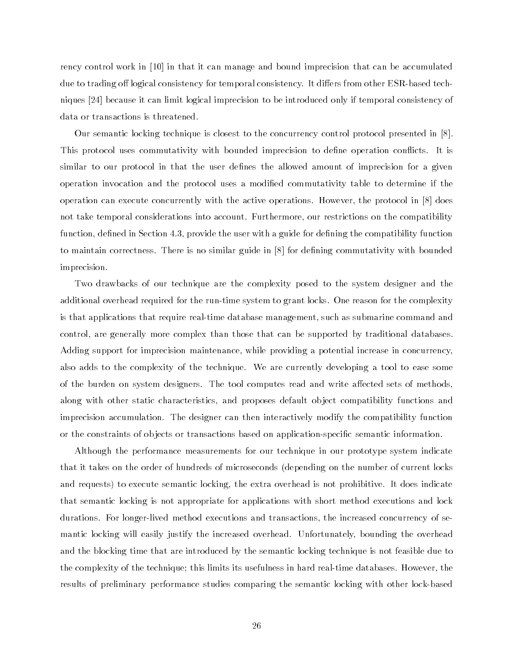rency control work in [10] in that it can manage and bound imprecision that can be accumulated due to trading off logical consistency for temporal consistency. It differs from other ESR-based techniques [24] because it can limit logical imprecision to be introduced only if temporal consistency of data or transactions is threatened.

Our semantic locking technique is closest to the concurrency control protocol presented in [8]. This protocol uses commutativity with bounded imprecision to define operation conflicts. It is similar to our protocol in that the user defines the allowed amount of imprecision for a given operation invocation and the protocol uses a modied commutativity table to determine if the operation can execute concurrently with the active operations. However, the protocol in [8] does not take temporal considerations into account. Furthermore, our restrictions on the compatibility function, defined in Section 4.3, provide the user with a guide for defining the compatibility function to maintain correctness. There is no similar guide in [8] for defining commutativity with bounded imprecision.

Two drawbacks of our technique are the complexity posed to the system designer and the additional overhead required for the run-time system to grant locks. One reason for the complexity is that applications that require real-time database management, such as submarine command and control, are generally more complex than those that can be supported by traditional databases. Adding support for imprecision maintenance, while providing a potential increase in concurrency, also adds to the complexity of the technique. We are currently developing a tool to ease some of the burden on system designers. The tool computes read and write affected sets of methods. along with other static characteristics, and proposes default ob ject compatibility functions and imprecision accumulation. The designer can then interactively modify the compatibility function or the constraints of ob jects or transactions based on application-specic semantic information.

Although the performance measurements for our technique in our prototype system indicate that it takes on the order of hundreds of microseconds (depending on the number of current locks and requests) to execute semantic locking, the extra overhead is not prohibitive. It does indicate that semantic locking is not appropriate for applications with short method executions and lock durations. For longer-lived method executions and transactions, the increased concurrency of semantic locking will easily justify the increased overhead. Unfortunately, bounding the overhead and the blocking time that are introduced by the semantic locking technique is not feasible due to the complexity of the technique; this limits its usefulness in hard real-time databases. However, the results of preliminary performance studies comparing the semantic locking with other lock-based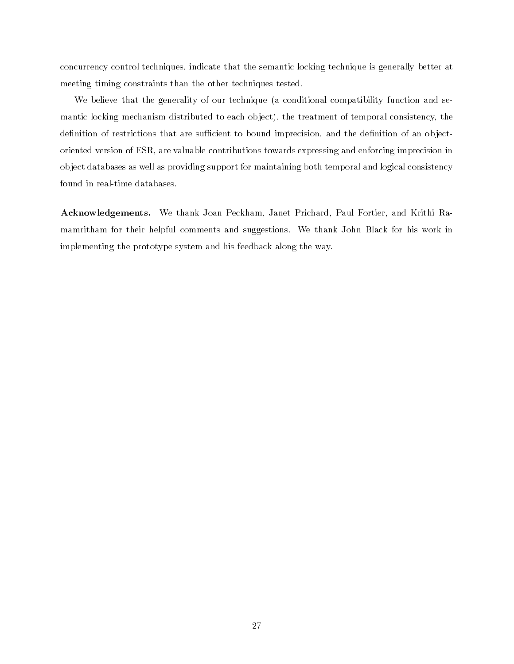concurrency control techniques, indicate that the semantic locking technique is generally better at meeting timing constraints than the other techniques tested.

We believe that the generality of our technique (a conditional compatibility function and semantic locking mechanism distributed to each ob ject), the treatment of temporal consistency, the definition of restrictions that are sufficient to bound imprecision, and the definition of an objectoriented version of ESR, are valuable contributions towards expressing and enforcing imprecision in ob ject databases as well as providing support for maintaining both temporal and logical consistency found in real-time databases.

Acknowledgements. We thank Joan Peckham, Janet Prichard, Paul Fortier, and Krithi Ramamritham for their helpful comments and suggestions. We thank John Black for his work in implementing the prototype system and his feedback along the way.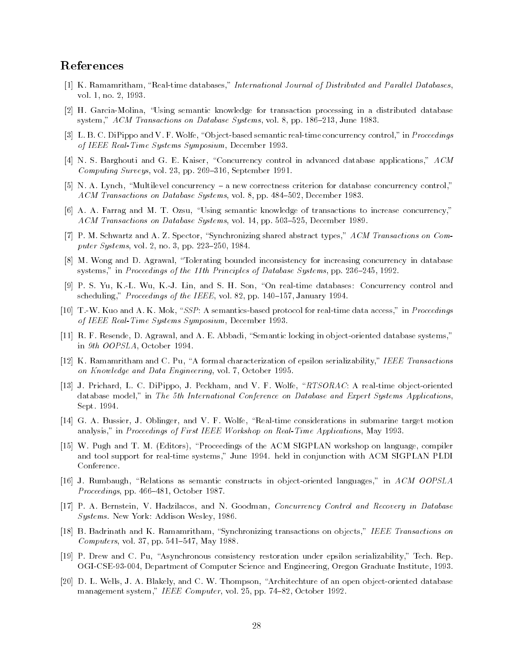## References

- [1] K. Ramamritham, "Real-time databases," International Journal of Distributed and Parallel Databases, vol. 1, no. 2, 1993.
- [2] H. Garcia-Molina, \Using semantic knowledge for transaction processing in a distributed database system," ACM Transactions on Database Systems, vol. 8, pp. 186-213, June 1983.
- [3] L. B. C. DiPippo and V. F. Wolfe, "Object-based semantic real-time concurrency control," in Proceedings of IEEE Real-Time Systems Symposium, December 1993.
- [4] N. S. Barghouti and G. E. Kaiser, "Concurrency control in advanced database applications," ACM  $Computing Surveys, vol. 23, pp. 269-316, September 1991.$
- [5] N. A. Lynch, "Multilevel concurrency  $-$  a new correctness criterion for database concurrency control," ACM Transactions on Database Systems, vol. 8, pp. 484-502, December 1983.
- [6] A. A. Farrag and M. T. Ozsu, \Using semantic knowledge of transactions to increase concurrency," ACM Transactions on Database Systems, vol. 14, pp. 503-525, December 1989.
- [7] P. M. Schwartz and A. Z. Spector, "Synchronizing shared abstract types," ACM Transactions on Computer Systems, vol. 2, no. 3, pp. 223-250, 1984.
- [8] M. Wong and D. Agrawal, "Tolerating bounded inconsistency for increasing concurrency in database systems," in Proceedings of the 11th Principles of Database Systems, pp. 236-245, 1992.
- [9] P. S. Yu, K.-L. Wu, K.-J. Lin, and S. H. Son, "On real-time databases: Concurrency control and scheduling," Proceedings of the IEEE, vol. 82, pp. 140–157, January 1994.
- [10] T.-W. Kuo and A. K. Mok, "SSP: A semantics-based protocol for real-time data access," in Proceedings of IEEE Real-Time Systems Symposium, December 1993.
- [11] R. F. Resende, D. Agrawal, and A. E. Abbadi, "Semantic locking in object-oriented database systems," in 9th OOPSLA, October 1994.
- [12] K. Ramamritham and C. Pu, \A formal characterization of epsilon serializability," IEEE Transactions on Knowledge and Data Engineering, vol. 7, October 1995.
- [13] J. Prichard, L. C. DiPippo, J. Peckham, and V. F. Wolfe, "RTSORAC: A real-time object-oriented database model," in The 5th International Conference on Database and Expert Systems Applications Sept. 1994.
- [14] G. A. Bussier, J. Oblinger, and V. F. Wolfe, "Real-time considerations in submarine target motion analysis," in Proceedings of First IEEE Workshop on Real-Time Applications, May 1993.
- [15] W. Pugh and T. M. (Editors), \Proceedings of the ACM SIGPLAN workshop on language, compiler and tool support for real-time systems," June 1994. held in conjunction with ACM SIGPLAN PLDI Conference.
- [16] J. Rumbaugh, "Relations as semantic constructs in object-oriented languages," in ACM OOPSLA *Proceedings*, pp.  $466{-}481$ , October 1987.
- [17] P. A. Bernstein, V. Hadzilacos, and N. Goodman, Concurrency Control and Recovery in Database Systems. New York: Addison Wesley, 1986.
- [18] B. Badrinath and K. Ramamritham, "Synchronizing transactions on objects," IEEE Transactions on  $Computers$ , vol. 37, pp. 541-547, May 1988.
- [19] P. Drew and C. Pu, \Asynchronous consistency restoration under epsilon serializability," Tech. Rep. OGI-CSE-93-004, Department of Computer Science and Engineering, Oregon Graduate Institute, 1993.
- [20] D. L. Wells, J. A. Blakely, and C. W. Thompson, "Architechture of an open object-oriented database management system," IEEE Computer, vol. 25, pp. 74-82, October 1992.